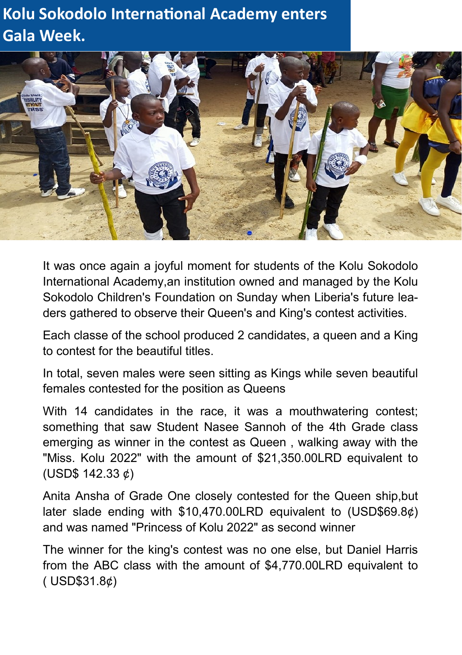## **Kolu Sokodolo International Academy enters Gala Week.**



It was once again a joyful moment for students of the Kolu Sokodolo International Academy,an institution owned and managed by the Kolu Sokodolo Children's Foundation on Sunday when Liberia's future leaders gathered to observe their Queen's and King's contest activities.

Each classe of the school produced 2 candidates, a queen and a King to contest for the beautiful titles.

In total, seven males were seen sitting as Kings while seven beautiful females contested for the position as Queens

With 14 candidates in the race, it was a mouthwatering contest: something that saw Student Nasee Sannoh of the 4th Grade class emerging as winner in the contest as Queen , walking away with the "Miss. Kolu 2022" with the amount of \$21,350.00LRD equivalent to (USD\$ 142.33 ¢)

Anita Ansha of Grade One closely contested for the Queen ship,but later slade ending with \$10,470.00LRD equivalent to (USD\$69.8¢) and was named "Princess of Kolu 2022" as second winner

The winner for the king's contest was no one else, but Daniel Harris from the ABC class with the amount of \$4,770.00LRD equivalent to ( USD\$31.8¢)